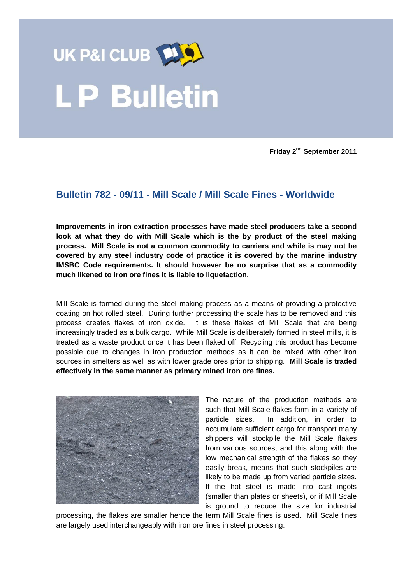

**Friday 2 nd September 2011**

## **Bulletin 782 - 09/11 - Mill Scale / Mill Scale Fines - Worldwide**

**Improvements in iron extraction processes have made steel producers take a second look at what they do with Mill Scale which is the by product of the steel making process. Mill Scale is not a common commodity to carriers and while is may not be covered by any steel industry code of practice it is covered by the marine industry IMSBC Code requirements. It should however be no surprise that as a commodity much likened to iron ore fines it is liable to liquefaction.**

Mill Scale is formed during the steel making process as a means of providing a protective coating on hot rolled steel. During further processing the scale has to be removed and this process creates flakes of iron oxide. It is these flakes of Mill Scale that are being increasingly traded as a bulk cargo. While Mill Scale is deliberately formed in steel mills, it is treated as a waste product once it has been flaked off. Recycling this product has become possible due to changes in iron production methods as it can be mixed with other iron sources in smelters as well as with lower grade ores prior to shipping. **Mill Scale is traded effectively in the same manner as primary mined iron ore fines.**



The nature of the production methods are such that Mill Scale flakes form in a variety of particle sizes. In addition, in order to accumulate sufficient cargo for transport many shippers will stockpile the Mill Scale flakes from various sources, and this along with the low mechanical strength of the flakes so they easily break, means that such stockpiles are likely to be made up from varied particle sizes. If the hot steel is made into cast ingots (smaller than plates or sheets), or if Mill Scale is ground to reduce the size for industrial

processing, the flakes are smaller hence the term Mill Scale fines is used. Mill Scale fines are largely used interchangeably with iron ore fines in steel processing.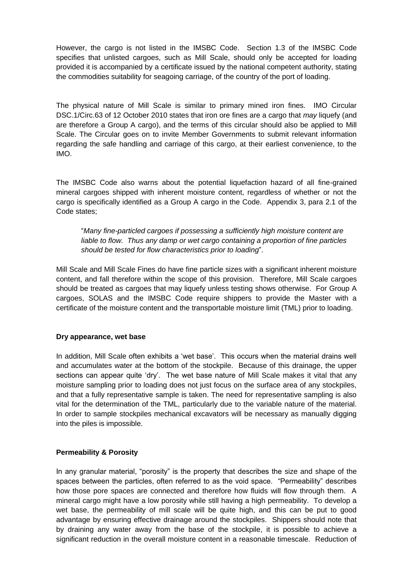However, the cargo is not listed in the IMSBC Code. Section 1.3 of the IMSBC Code specifies that unlisted cargoes, such as Mill Scale, should only be accepted for loading provided it is accompanied by a certificate issued by the national competent authority, stating the commodities suitability for seagoing carriage, of the country of the port of loading.

The physical nature of Mill Scale is similar to primary mined iron fines. IMO Circular DSC.1/Circ.63 of 12 October 2010 states that iron ore fines are a cargo that *may* liquefy (and are therefore a Group A cargo), and the terms of this circular should also be applied to Mill Scale. The Circular goes on to invite Member Governments to submit relevant information regarding the safe handling and carriage of this cargo, at their earliest convenience, to the IMO.

The IMSBC Code also warns about the potential liquefaction hazard of all fine-grained mineral cargoes shipped with inherent moisture content, regardless of whether or not the cargo is specifically identified as a Group A cargo in the Code. Appendix 3, para 2.1 of the Code states;

"*Many fine-particled cargoes if possessing a sufficiently high moisture content are liable to flow. Thus any damp or wet cargo containing a proportion of fine particles should be tested for flow characteristics prior to loading*".

Mill Scale and Mill Scale Fines do have fine particle sizes with a significant inherent moisture content, and fall therefore within the scope of this provision. Therefore, Mill Scale cargoes should be treated as cargoes that may liquefy unless testing shows otherwise. For Group A cargoes, SOLAS and the IMSBC Code require shippers to provide the Master with a certificate of the moisture content and the transportable moisture limit (TML) prior to loading.

## **Dry appearance, wet base**

In addition, Mill Scale often exhibits a "wet base". This occurs when the material drains well and accumulates water at the bottom of the stockpile. Because of this drainage, the upper sections can appear quite "dry". The wet base nature of Mill Scale makes it vital that any moisture sampling prior to loading does not just focus on the surface area of any stockpiles, and that a fully representative sample is taken. The need for representative sampling is also vital for the determination of the TML, particularly due to the variable nature of the material. In order to sample stockpiles mechanical excavators will be necessary as manually digging into the piles is impossible.

## **Permeability & Porosity**

In any granular material, "porosity" is the property that describes the size and shape of the spaces between the particles, often referred to as the void space. "Permeability" describes how those pore spaces are connected and therefore how fluids will flow through them. A mineral cargo might have a low porosity while still having a high permeability. To develop a wet base, the permeability of mill scale will be quite high, and this can be put to good advantage by ensuring effective drainage around the stockpiles. Shippers should note that by draining any water away from the base of the stockpile, it is possible to achieve a significant reduction in the overall moisture content in a reasonable timescale. Reduction of